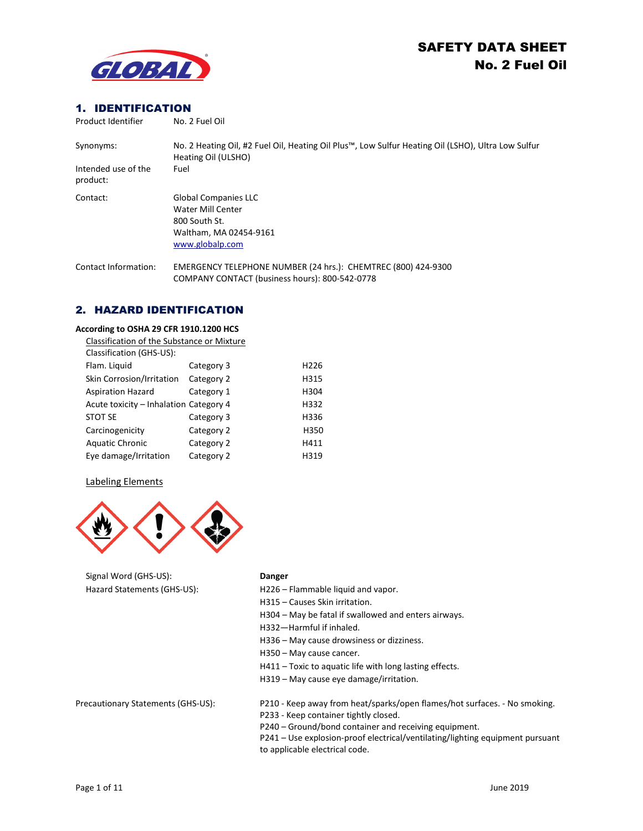

# **1. IDENTIFICATION**<br>Product identifier Me. 2 Fuel Oil

| Product Identifier              | No. 2 Fuel Oil                                                                                                            |
|---------------------------------|---------------------------------------------------------------------------------------------------------------------------|
| Synonyms:                       | No. 2 Heating Oil, #2 Fuel Oil, Heating Oil Plus™, Low Sulfur Heating Oil (LSHO), Ultra Low Sulfur<br>Heating Oil (ULSHO) |
| Intended use of the<br>product: | Fuel                                                                                                                      |
| Contact:                        | <b>Global Companies LLC</b><br>Water Mill Center<br>800 South St.<br>Waltham, MA 02454-9161<br>www.globalp.com            |
| Contact Information:            | EMERGENCY TELEPHONE NUMBER (24 hrs.): CHEMTREC (800) 424-9300<br>COMPANY CONTACT (business hours): 800-542-0778           |

# 2. HAZARD IDENTIFICATION

#### **According to OSHA 29 CFR 1910.1200 HCS**

| Classification of the Substance or Mixture |            |                  |
|--------------------------------------------|------------|------------------|
| Classification (GHS-US):                   |            |                  |
| Flam. Liquid                               | Category 3 | H <sub>226</sub> |
| Skin Corrosion/Irritation                  | Category 2 | H315             |
| <b>Aspiration Hazard</b>                   | Category 1 | H304             |
| Acute toxicity - Inhalation Category 4     |            | H332             |
| <b>STOT SE</b>                             | Category 3 | H336             |
| Carcinogenicity                            | Category 2 | H350             |
| <b>Aquatic Chronic</b>                     | Category 2 | H411             |
| Eye damage/Irritation                      | Category 2 | H319             |

#### Labeling Elements



Signal Word (GHS-US): **Danger**

Hazard Statements (GHS-US): H226 – Flammable liquid and vapor. H315 – Causes Skin irritation. H304 – May be fatal if swallowed and enters airways. H332—Harmful if inhaled. H336 – May cause drowsiness or dizziness. H350 – May cause cancer. H411 – Toxic to aquatic life with long lasting effects. H319 – May cause eye damage/irritation. Precautionary Statements (GHS-US): P210 - Keep away from heat/sparks/open flames/hot surfaces. - No smoking. P233 - Keep container tightly closed. P240 – Ground/bond container and receiving equipment.

P241 – Use explosion-proof electrical/ventilating/lighting equipment pursuant to applicable electrical code.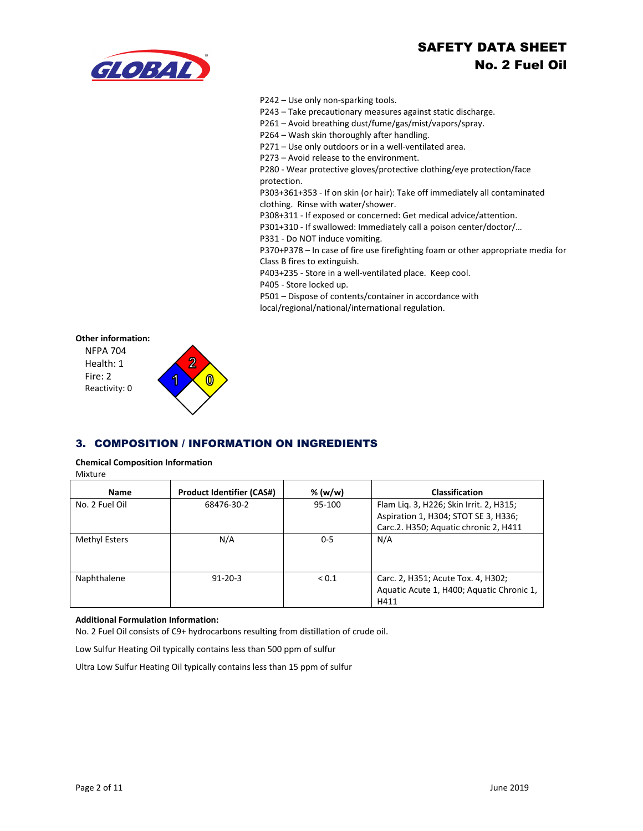

#### P242 – Use only non-sparking tools.

P243 – Take precautionary measures against static discharge.

- P261 Avoid breathing dust/fume/gas/mist/vapors/spray.
- P264 Wash skin thoroughly after handling.

P271 – Use only outdoors or in a well-ventilated area.

P273 – Avoid release to the environment.

P280 - Wear protective gloves/protective clothing/eye protection/face protection.

P303+361+353 - If on skin (or hair): Take off immediately all contaminated clothing. Rinse with water/shower.

P308+311 - If exposed or concerned: Get medical advice/attention.

P301+310 - If swallowed: Immediately call a poison center/doctor/…

P331 - Do NOT induce vomiting.

P370+P378 – In case of fire use firefighting foam or other appropriate media for Class B fires to extinguish.

P403+235 - Store in a well-ventilated place. Keep cool.

P405 - Store locked up.

P501 – Dispose of contents/container in accordance with

local/regional/national/international regulation.



# 3. COMPOSITION / INFORMATION ON INGREDIENTS

**Chemical Composition Information**

Mixture

| Name           | <b>Product Identifier (CAS#)</b> | % $(w/w)$  | <b>Classification</b>                                                                                                    |
|----------------|----------------------------------|------------|--------------------------------------------------------------------------------------------------------------------------|
| No. 2 Fuel Oil | 68476-30-2                       | 95-100     | Flam Lig. 3, H226; Skin Irrit. 2, H315;<br>Aspiration 1, H304; STOT SE 3, H336;<br>Carc.2. H350; Aquatic chronic 2, H411 |
| Methyl Esters  | N/A                              | $0 - 5$    | N/A                                                                                                                      |
| Naphthalene    | $91 - 20 - 3$                    | ${}_{0.1}$ | Carc. 2, H351; Acute Tox. 4, H302;<br>Aquatic Acute 1, H400; Aquatic Chronic 1,<br>H411                                  |

#### **Additional Formulation Information:**

No. 2 Fuel Oil consists of C9+ hydrocarbons resulting from distillation of crude oil.

Low Sulfur Heating Oil typically contains less than 500 ppm of sulfur

Ultra Low Sulfur Heating Oil typically contains less than 15 ppm of sulfur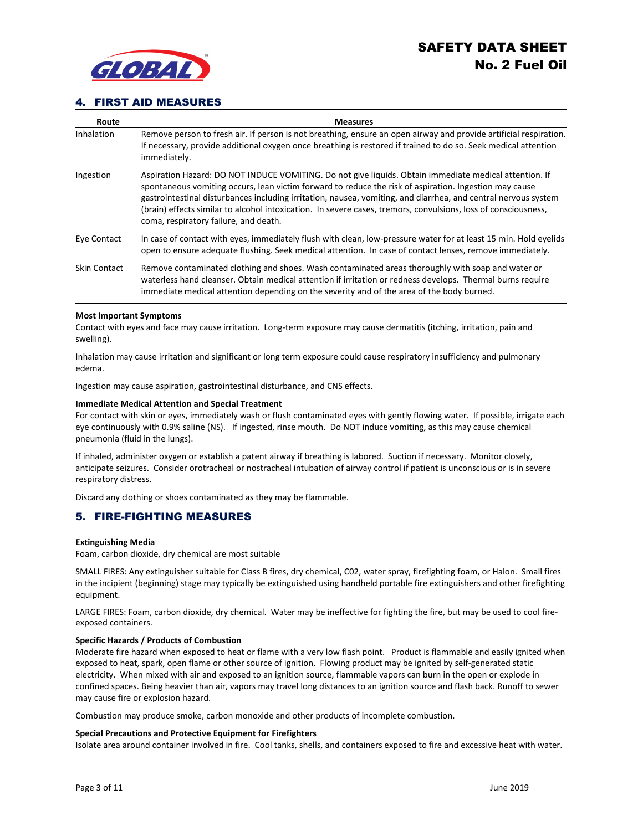

### 4. FIRST AID MEASURES

| Route               | <b>Measures</b>                                                                                                                                                                                                                                                                                                                                                                                                                                                                               |
|---------------------|-----------------------------------------------------------------------------------------------------------------------------------------------------------------------------------------------------------------------------------------------------------------------------------------------------------------------------------------------------------------------------------------------------------------------------------------------------------------------------------------------|
| Inhalation          | Remove person to fresh air. If person is not breathing, ensure an open airway and provide artificial respiration.<br>If necessary, provide additional oxygen once breathing is restored if trained to do so. Seek medical attention<br>immediately.                                                                                                                                                                                                                                           |
| Ingestion           | Aspiration Hazard: DO NOT INDUCE VOMITING. Do not give liquids. Obtain immediate medical attention. If<br>spontaneous vomiting occurs, lean victim forward to reduce the risk of aspiration. Ingestion may cause<br>gastrointestinal disturbances including irritation, nausea, vomiting, and diarrhea, and central nervous system<br>(brain) effects similar to alcohol intoxication. In severe cases, tremors, convulsions, loss of consciousness,<br>coma, respiratory failure, and death. |
| Eye Contact         | In case of contact with eves, immediately flush with clean, low-pressure water for at least 15 min. Hold evelids<br>open to ensure adequate flushing. Seek medical attention. In case of contact lenses, remove immediately.                                                                                                                                                                                                                                                                  |
| <b>Skin Contact</b> | Remove contaminated clothing and shoes. Wash contaminated areas thoroughly with soap and water or<br>waterless hand cleanser. Obtain medical attention if irritation or redness develops. Thermal burns require<br>immediate medical attention depending on the severity and of the area of the body burned.                                                                                                                                                                                  |

#### **Most Important Symptoms**

Contact with eyes and face may cause irritation. Long-term exposure may cause dermatitis (itching, irritation, pain and swelling).

Inhalation may cause irritation and significant or long term exposure could cause respiratory insufficiency and pulmonary edema.

Ingestion may cause aspiration, gastrointestinal disturbance, and CNS effects.

#### **Immediate Medical Attention and Special Treatment**

For contact with skin or eyes, immediately wash or flush contaminated eyes with gently flowing water. If possible, irrigate each eye continuously with 0.9% saline (NS). If ingested, rinse mouth. Do NOT induce vomiting, as this may cause chemical pneumonia (fluid in the lungs).

If inhaled, administer oxygen or establish a patent airway if breathing is labored. Suction if necessary. Monitor closely, anticipate seizures. Consider orotracheal or nostracheal intubation of airway control if patient is unconscious or is in severe respiratory distress.

Discard any clothing or shoes contaminated as they may be flammable.

### 5. FIRE-FIGHTING MEASURES

#### **Extinguishing Media**

Foam, carbon dioxide, dry chemical are most suitable

SMALL FIRES: Any extinguisher suitable for Class B fires, dry chemical, C02, water spray, firefighting foam, or Halon. Small fires in the incipient (beginning) stage may typically be extinguished using handheld portable fire extinguishers and other firefighting equipment.

LARGE FIRES: Foam, carbon dioxide, dry chemical. Water may be ineffective for fighting the fire, but may be used to cool fireexposed containers.

#### **Specific Hazards / Products of Combustion**

Moderate fire hazard when exposed to heat or flame with a very low flash point. Product is flammable and easily ignited when exposed to heat, spark, open flame or other source of ignition. Flowing product may be ignited by self-generated static electricity. When mixed with air and exposed to an ignition source, flammable vapors can burn in the open or explode in confined spaces. Being heavier than air, vapors may travel long distances to an ignition source and flash back. Runoff to sewer may cause fire or explosion hazard.

Combustion may produce smoke, carbon monoxide and other products of incomplete combustion.

#### **Special Precautions and Protective Equipment for Firefighters**

Isolate area around container involved in fire. Cool tanks, shells, and containers exposed to fire and excessive heat with water.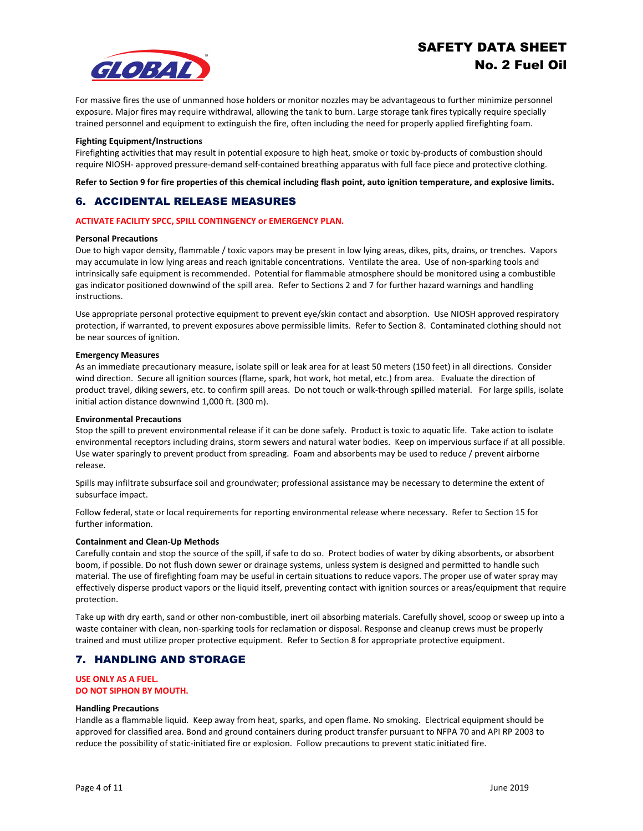

For massive fires the use of unmanned hose holders or monitor nozzles may be advantageous to further minimize personnel exposure. Major fires may require withdrawal, allowing the tank to burn. Large storage tank fires typically require specially trained personnel and equipment to extinguish the fire, often including the need for properly applied firefighting foam.

#### **Fighting Equipment/Instructions**

Firefighting activities that may result in potential exposure to high heat, smoke or toxic by-products of combustion should require NIOSH- approved pressure-demand self-contained breathing apparatus with full face piece and protective clothing.

**Refer to Section 9 for fire properties of this chemical including flash point, auto ignition temperature, and explosive limits.**

# 6. ACCIDENTAL RELEASE MEASURES

#### **ACTIVATE FACILITY SPCC, SPILL CONTINGENCY or EMERGENCY PLAN.**

#### **Personal Precautions**

Due to high vapor density, flammable / toxic vapors may be present in low lying areas, dikes, pits, drains, or trenches. Vapors may accumulate in low lying areas and reach ignitable concentrations. Ventilate the area. Use of non-sparking tools and intrinsically safe equipment is recommended. Potential for flammable atmosphere should be monitored using a combustible gas indicator positioned downwind of the spill area. Refer to Sections 2 and 7 for further hazard warnings and handling instructions.

Use appropriate personal protective equipment to prevent eye/skin contact and absorption. Use NIOSH approved respiratory protection, if warranted, to prevent exposures above permissible limits. Refer to Section 8. Contaminated clothing should not be near sources of ignition.

#### **Emergency Measures**

As an immediate precautionary measure, isolate spill or leak area for at least 50 meters (150 feet) in all directions. Consider wind direction. Secure all ignition sources (flame, spark, hot work, hot metal, etc.) from area. Evaluate the direction of product travel, diking sewers, etc. to confirm spill areas. Do not touch or walk-through spilled material. For large spills, isolate initial action distance downwind 1,000 ft. (300 m).

#### **Environmental Precautions**

Stop the spill to prevent environmental release if it can be done safely. Product is toxic to aquatic life. Take action to isolate environmental receptors including drains, storm sewers and natural water bodies. Keep on impervious surface if at all possible. Use water sparingly to prevent product from spreading. Foam and absorbents may be used to reduce / prevent airborne release.

Spills may infiltrate subsurface soil and groundwater; professional assistance may be necessary to determine the extent of subsurface impact.

Follow federal, state or local requirements for reporting environmental release where necessary. Refer to Section 15 for further information.

### **Containment and Clean-Up Methods**

Carefully contain and stop the source of the spill, if safe to do so. Protect bodies of water by diking absorbents, or absorbent boom, if possible. Do not flush down sewer or drainage systems, unless system is designed and permitted to handle such material. The use of firefighting foam may be useful in certain situations to reduce vapors. The proper use of water spray may effectively disperse product vapors or the liquid itself, preventing contact with ignition sources or areas/equipment that require protection.

Take up with dry earth, sand or other non-combustible, inert oil absorbing materials. Carefully shovel, scoop or sweep up into a waste container with clean, non-sparking tools for reclamation or disposal. Response and cleanup crews must be properly trained and must utilize proper protective equipment. Refer to Section 8 for appropriate protective equipment.

### 7. HANDLING AND STORAGE

### **USE ONLY AS A FUEL. DO NOT SIPHON BY MOUTH.**

#### **Handling Precautions**

Handle as a flammable liquid. Keep away from heat, sparks, and open flame. No smoking. Electrical equipment should be approved for classified area. Bond and ground containers during product transfer pursuant to NFPA 70 and API RP 2003 to reduce the possibility of static-initiated fire or explosion. Follow precautions to prevent static initiated fire.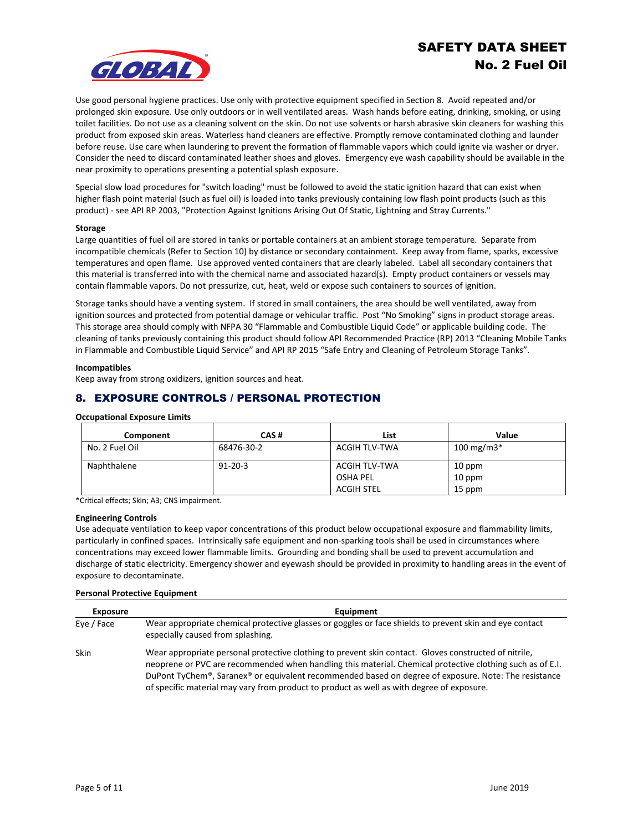

Use good personal hygiene practices. Use only with protective equipment specified in Section 8. Avoid repeated and/or prolonged skin exposure. Use only outdoors or in well ventilated areas. Wash hands before eating, drinking, smoking, or using toilet facilities. Do not use as a cleaning solvent on the skin. Do not use solvents or harsh abrasive skin cleaners for washing this product from exposed skin areas. Waterless hand cleaners are effective. Promptly remove contaminated clothing and launder before reuse. Use care when laundering to prevent the formation of flammable vapors which could ignite via washer or dryer. Consider the need to discard contaminated leather shoes and gloves. Emergency eye wash capability should be available in the near proximity to operations presenting a potential splash exposure.

Special slow load procedures for "switch loading" must be followed to avoid the static ignition hazard that can exist when higher flash point material (such as fuel oil) is loaded into tanks previously containing low flash point products (such as this product) - see API RP 2003, "Protection Against Ignitions Arising Out Of Static, Lightning and Stray Currents."

#### **Storage**

Large quantities of fuel oil are stored in tanks or portable containers at an ambient storage temperature. Separate from incompatible chemicals (Refer to Section 10) by distance or secondary containment. Keep away from flame, sparks, excessive temperatures and open flame. Use approved vented containers that are clearly labeled. Label all secondary containers that this material is transferred into with the chemical name and associated hazard(s). Empty product containers or vessels may contain flammable vapors. Do not pressurize, cut, heat, weld or expose such containers to sources of ignition.

Storage tanks should have a venting system. If stored in small containers, the area should be well ventilated, away from ignition sources and protected from potential damage or vehicular traffic. Post "No Smoking" signs in product storage areas. This storage area should comply with NFPA 30 "Flammable and Combustible Liquid Code" or applicable building code. The cleaning of tanks previously containing this product should follow API Recommended Practice (RP) 2013 "Cleaning Mobile Tanks in Flammable and Combustible Liquid Service" and API RP 2015 "Safe Entry and Cleaning of Petroleum Storage Tanks".

#### **Incompatibles**

Keep away from strong oxidizers, ignition sources and heat.

# 8. EXPOSURE CONTROLS / PERSONAL PROTECTION

#### **Occupational Exposure Limits**

| Component      | CAS#          | List                 | Value         |
|----------------|---------------|----------------------|---------------|
| No. 2 Fuel Oil | 68476-30-2    | ACGIH TLV-TWA        | 100 mg/m $3*$ |
| Naphthalene    | $91 - 20 - 3$ | <b>ACGIH TLV-TWA</b> | 10 ppm        |
|                |               | <b>OSHA PEL</b>      | 10 ppm        |
|                |               | ACGIH STEL           | 15 ppm        |

\*Critical effects; Skin; A3; CNS impairment.

#### **Engineering Controls**

Use adequate ventilation to keep vapor concentrations of this product below occupational exposure and flammability limits, particularly in confined spaces. Intrinsically safe equipment and non-sparking tools shall be used in circumstances where concentrations may exceed lower flammable limits. Grounding and bonding shall be used to prevent accumulation and discharge of static electricity. Emergency shower and eyewash should be provided in proximity to handling areas in the event of exposure to decontaminate.

#### **Personal Protective Equipment**

| <b>Exposure</b> | Equipment                                                                                                                                                                                                                                                                                                                                                                                                                                        |
|-----------------|--------------------------------------------------------------------------------------------------------------------------------------------------------------------------------------------------------------------------------------------------------------------------------------------------------------------------------------------------------------------------------------------------------------------------------------------------|
| Eve / Face      | Wear appropriate chemical protective glasses or goggles or face shields to prevent skin and eye contact<br>especially caused from splashing.                                                                                                                                                                                                                                                                                                     |
| Skin            | Wear appropriate personal protective clothing to prevent skin contact. Gloves constructed of nitrile,<br>neoprene or PVC are recommended when handling this material. Chemical protective clothing such as of E.I.<br>DuPont TyChem <sup>®</sup> , Saranex <sup>®</sup> or equivalent recommended based on degree of exposure. Note: The resistance<br>of specific material may vary from product to product as well as with degree of exposure. |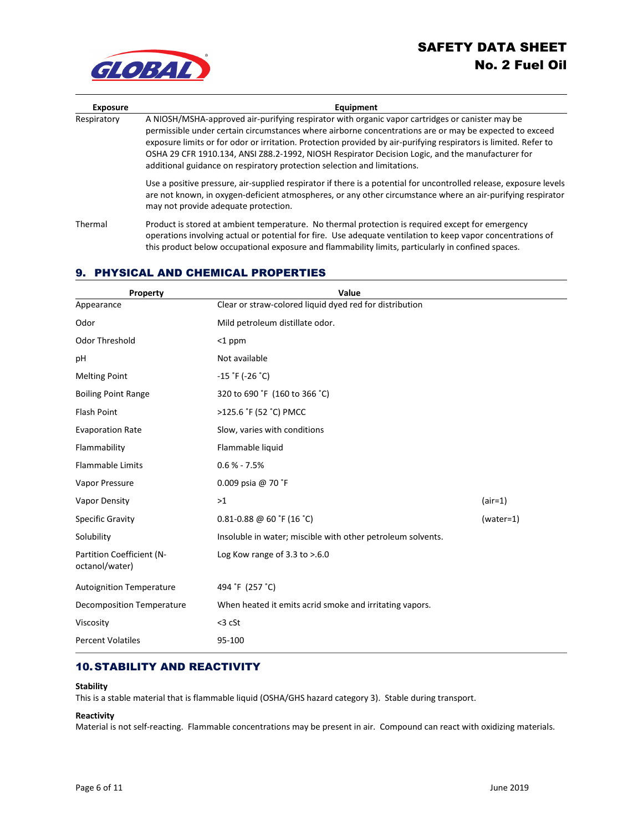

| <b>Exposure</b> | Equipment                                                                                                                                                                                                                                                                                                                                                                                                                                                                                                     |
|-----------------|---------------------------------------------------------------------------------------------------------------------------------------------------------------------------------------------------------------------------------------------------------------------------------------------------------------------------------------------------------------------------------------------------------------------------------------------------------------------------------------------------------------|
| Respiratory     | A NIOSH/MSHA-approved air-purifying respirator with organic vapor cartridges or canister may be<br>permissible under certain circumstances where airborne concentrations are or may be expected to exceed<br>exposure limits or for odor or irritation. Protection provided by air-purifying respirators is limited. Refer to<br>OSHA 29 CFR 1910.134, ANSI Z88.2-1992, NIOSH Respirator Decision Logic, and the manufacturer for<br>additional guidance on respiratory protection selection and limitations. |
|                 | Use a positive pressure, air-supplied respirator if there is a potential for uncontrolled release, exposure levels<br>are not known, in oxygen-deficient atmospheres, or any other circumstance where an air-purifying respirator<br>may not provide adequate protection.                                                                                                                                                                                                                                     |
| Thermal         | Product is stored at ambient temperature. No thermal protection is required except for emergency<br>operations involving actual or potential for fire. Use adequate ventilation to keep vapor concentrations of<br>this product below occupational exposure and flammability limits, particularly in confined spaces.                                                                                                                                                                                         |

# 9. PHYSICAL AND CHEMICAL PROPERTIES

| Property                                    | Value                                                       |             |
|---------------------------------------------|-------------------------------------------------------------|-------------|
| Appearance                                  | Clear or straw-colored liquid dyed red for distribution     |             |
| Odor                                        | Mild petroleum distillate odor.                             |             |
| Odor Threshold                              | $<$ 1 ppm                                                   |             |
| pH                                          | Not available                                               |             |
| <b>Melting Point</b>                        | $-15$ $\degree$ F (-26 $\degree$ C)                         |             |
| <b>Boiling Point Range</b>                  | 320 to 690 °F (160 to 366 °C)                               |             |
| Flash Point                                 | >125.6 °F (52 °C) PMCC                                      |             |
| <b>Evaporation Rate</b>                     | Slow, varies with conditions                                |             |
| Flammability                                | Flammable liquid                                            |             |
| <b>Flammable Limits</b>                     | $0.6 % - 7.5%$                                              |             |
| Vapor Pressure                              | 0.009 psia @ 70 °F                                          |             |
| Vapor Density                               | >1                                                          | $(air=1)$   |
| <b>Specific Gravity</b>                     | $0.81 - 0.88$ @ 60 °F (16 °C)                               | $(water=1)$ |
| Solubility                                  | Insoluble in water; miscible with other petroleum solvents. |             |
| Partition Coefficient (N-<br>octanol/water) | Log Kow range of $3.3$ to $> 6.0$                           |             |
| <b>Autoignition Temperature</b>             | 494 °F (257 °C)                                             |             |
| <b>Decomposition Temperature</b>            | When heated it emits acrid smoke and irritating vapors.     |             |
| Viscosity                                   | $<$ 3 cSt                                                   |             |
| <b>Percent Volatiles</b>                    | 95-100                                                      |             |

# 10. STABILITY AND REACTIVITY

#### **Stability**

This is a stable material that is flammable liquid (OSHA/GHS hazard category 3). Stable during transport.

### **Reactivity**

Material is not self-reacting. Flammable concentrations may be present in air. Compound can react with oxidizing materials.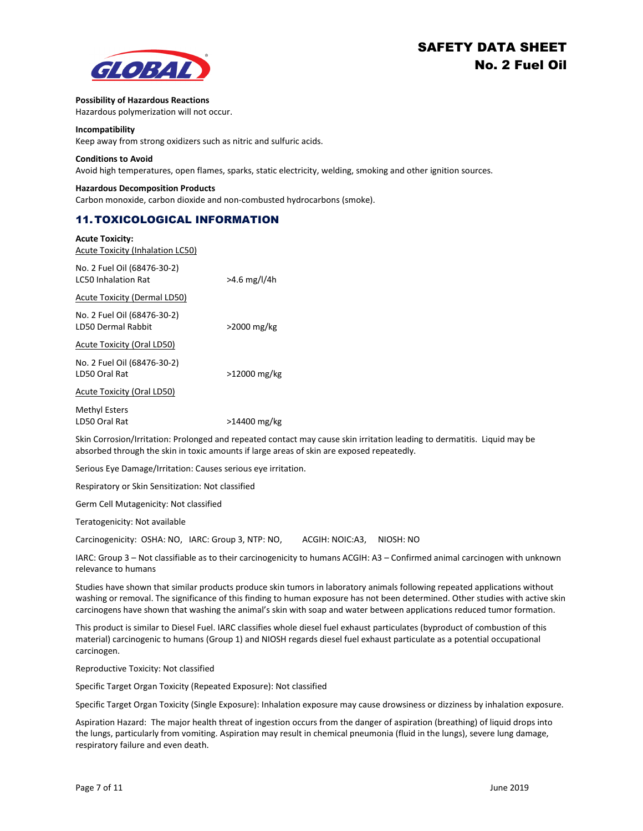

#### **Possibility of Hazardous Reactions**

Hazardous polymerization will not occur.

#### **Incompatibility**

Keep away from strong oxidizers such as nitric and sulfuric acids.

#### **Conditions to Avoid**

Avoid high temperatures, open flames, sparks, static electricity, welding, smoking and other ignition sources.

#### **Hazardous Decomposition Products**

Carbon monoxide, carbon dioxide and non-combusted hydrocarbons (smoke).

### 11. TOXICOLOGICAL INFORMATION

| <b>Acute Toxicity:</b>                                    |                |
|-----------------------------------------------------------|----------------|
| <b>Acute Toxicity (Inhalation LC50)</b>                   |                |
| No. 2 Fuel Oil (68476-30-2)<br><b>LC50 Inhalation Rat</b> | $>4.6$ mg/l/4h |
| <b>Acute Toxicity (Dermal LD50)</b>                       |                |
| No. 2 Fuel Oil (68476-30-2)<br>LD50 Dermal Rabbit         | >2000 mg/kg    |
| Acute Toxicity (Oral LD50)                                |                |
| No. 2 Fuel Oil (68476-30-2)<br>LD50 Oral Rat              | >12000 mg/kg   |
| Acute Toxicity (Oral LD50)                                |                |
| Methyl Esters                                             |                |
| LD50 Oral Rat                                             | >14400 mg/kg   |

Skin Corrosion/Irritation: Prolonged and repeated contact may cause skin irritation leading to dermatitis. Liquid may be absorbed through the skin in toxic amounts if large areas of skin are exposed repeatedly.

Serious Eye Damage/Irritation: Causes serious eye irritation.

Respiratory or Skin Sensitization: Not classified

Germ Cell Mutagenicity: Not classified

Teratogenicity: Not available

Carcinogenicity: OSHA: NO, IARC: Group 3, NTP: NO, ACGIH: NOIC:A3, NIOSH: NO

IARC: Group 3 – Not classifiable as to their carcinogenicity to humans ACGIH: A3 – Confirmed animal carcinogen with unknown relevance to humans

Studies have shown that similar products produce skin tumors in laboratory animals following repeated applications without washing or removal. The significance of this finding to human exposure has not been determined. Other studies with active skin carcinogens have shown that washing the animal's skin with soap and water between applications reduced tumor formation.

This product is similar to Diesel Fuel. IARC classifies whole diesel fuel exhaust particulates (byproduct of combustion of this material) carcinogenic to humans (Group 1) and NIOSH regards diesel fuel exhaust particulate as a potential occupational carcinogen.

Reproductive Toxicity: Not classified

Specific Target Organ Toxicity (Repeated Exposure): Not classified

Specific Target Organ Toxicity (Single Exposure): Inhalation exposure may cause drowsiness or dizziness by inhalation exposure.

Aspiration Hazard: The major health threat of ingestion occurs from the danger of aspiration (breathing) of liquid drops into the lungs, particularly from vomiting. Aspiration may result in chemical pneumonia (fluid in the lungs), severe lung damage, respiratory failure and even death.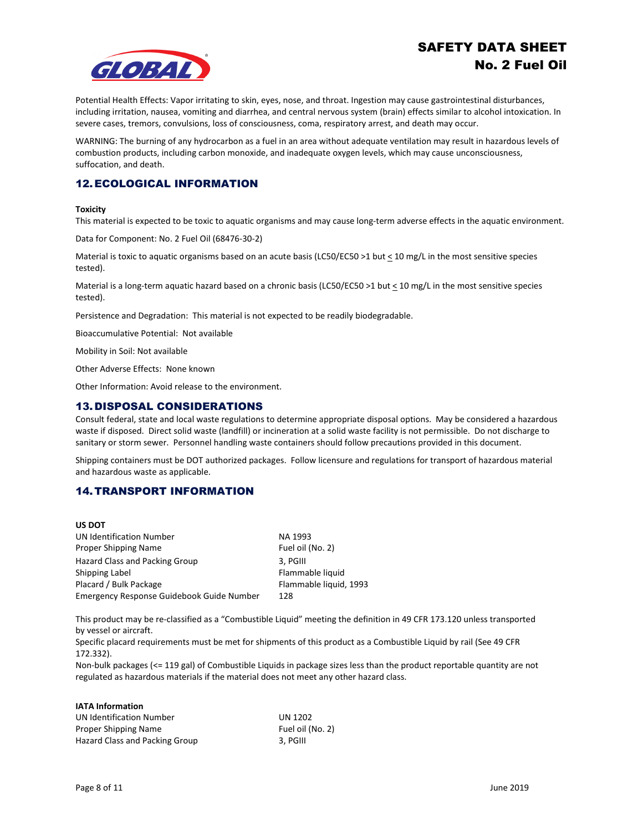

Potential Health Effects: Vapor irritating to skin, eyes, nose, and throat. Ingestion may cause gastrointestinal disturbances, including irritation, nausea, vomiting and diarrhea, and central nervous system (brain) effects similar to alcohol intoxication. In severe cases, tremors, convulsions, loss of consciousness, coma, respiratory arrest, and death may occur.

WARNING: The burning of any hydrocarbon as a fuel in an area without adequate ventilation may result in hazardous levels of combustion products, including carbon monoxide, and inadequate oxygen levels, which may cause unconsciousness, suffocation, and death.

# 12. ECOLOGICAL INFORMATION

#### **Toxicity**

This material is expected to be toxic to aquatic organisms and may cause long-term adverse effects in the aquatic environment.

Data for Component: No. 2 Fuel Oil (68476-30-2)

Material is toxic to aquatic organisms based on an acute basis (LC50/EC50 >1 but < 10 mg/L in the most sensitive species tested).

Material is a long-term aquatic hazard based on a chronic basis (LC50/EC50 >1 but < 10 mg/L in the most sensitive species tested).

Persistence and Degradation: This material is not expected to be readily biodegradable.

Bioaccumulative Potential: Not available

Mobility in Soil: Not available

Other Adverse Effects: None known

Other Information: Avoid release to the environment.

### 13.DISPOSAL CONSIDERATIONS

Consult federal, state and local waste regulations to determine appropriate disposal options. May be considered a hazardous waste if disposed. Direct solid waste (landfill) or incineration at a solid waste facility is not permissible. Do not discharge to sanitary or storm sewer. Personnel handling waste containers should follow precautions provided in this document.

Shipping containers must be DOT authorized packages. Follow licensure and regulations for transport of hazardous material and hazardous waste as applicable.

### 14. TRANSPORT INFORMATION

| <b>US DOT</b>                             |                        |
|-------------------------------------------|------------------------|
| UN Identification Number                  | NA 1993                |
| Proper Shipping Name                      | Fuel oil (No. 2)       |
| Hazard Class and Packing Group            | 3, PGIII               |
| Shipping Label                            | Flammable liquid       |
| Placard / Bulk Package                    | Flammable liquid, 1993 |
| Emergency Response Guidebook Guide Number | 128                    |

This product may be re-classified as a "Combustible Liquid" meeting the definition in 49 CFR 173.120 unless transported by vessel or aircraft.

Specific placard requirements must be met for shipments of this product as a Combustible Liquid by rail (See 49 CFR 172.332).

Non-bulk packages (<= 119 gal) of Combustible Liquids in package sizes less than the product reportable quantity are not regulated as hazardous materials if the material does not meet any other hazard class.

| <b>IATA Information</b>               |                  |
|---------------------------------------|------------------|
| <b>UN Identification Number</b>       | UN 1202          |
| Proper Shipping Name                  | Fuel oil (No. 2) |
| <b>Hazard Class and Packing Group</b> | 3. PGIII         |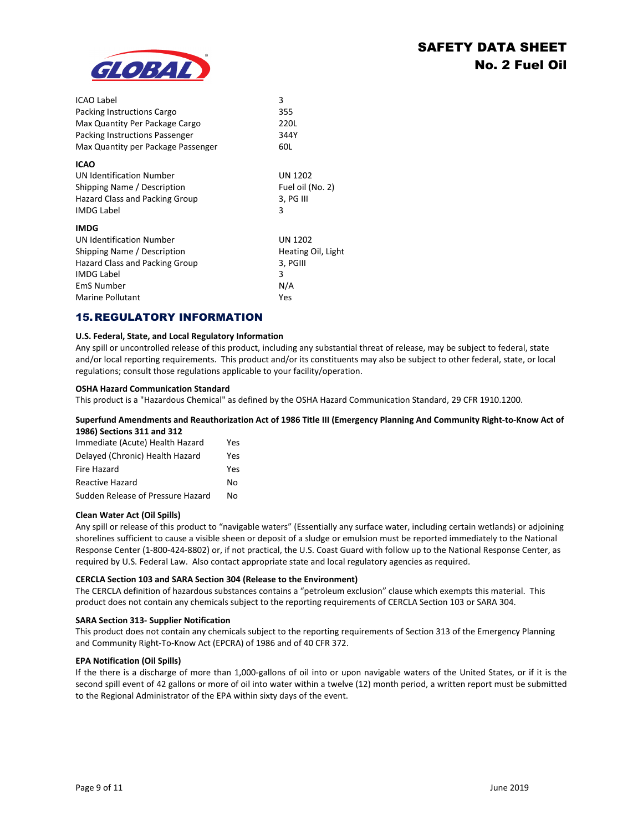

| <b>ICAO Label</b><br>Packing Instructions Cargo<br>Max Quantity Per Package Cargo<br>Packing Instructions Passenger<br>Max Quantity per Package Passenger                     | 3<br>355<br>220L<br>344Y<br>60L                                     |
|-------------------------------------------------------------------------------------------------------------------------------------------------------------------------------|---------------------------------------------------------------------|
| <b>ICAO</b><br>UN Identification Number<br>Shipping Name / Description<br>Hazard Class and Packing Group<br><b>IMDG Label</b>                                                 | UN 1202<br>Fuel oil (No. 2)<br>3, PG III<br>3                       |
| <b>IMDG</b><br><b>UN Identification Number</b><br>Shipping Name / Description<br>Hazard Class and Packing Group<br><b>IMDG Label</b><br><b>EmS Number</b><br>Marine Pollutant | <b>UN 1202</b><br>Heating Oil, Light<br>3, PGIII<br>3<br>N/A<br>Yes |

# 15.REGULATORY INFORMATION

### **U.S. Federal, State, and Local Regulatory Information**

Any spill or uncontrolled release of this product, including any substantial threat of release, may be subject to federal, state and/or local reporting requirements. This product and/or its constituents may also be subject to other federal, state, or local regulations; consult those regulations applicable to your facility/operation.

#### **OSHA Hazard Communication Standard**

This product is a "Hazardous Chemical" as defined by the OSHA Hazard Communication Standard, 29 CFR 1910.1200.

#### **Superfund Amendments and Reauthorization Act of 1986 Title III (Emergency Planning And Community Right-to-Know Act of 1986) Sections 311 and 312**

| Immediate (Acute) Health Hazard   | Yes |
|-----------------------------------|-----|
| Delayed (Chronic) Health Hazard   | Yes |
| Fire Hazard                       | Yes |
| <b>Reactive Hazard</b>            | No. |
| Sudden Release of Pressure Hazard | N٥  |
|                                   |     |

#### **Clean Water Act (Oil Spills)**

Any spill or release of this product to "navigable waters" (Essentially any surface water, including certain wetlands) or adjoining shorelines sufficient to cause a visible sheen or deposit of a sludge or emulsion must be reported immediately to the National Response Center (1-800-424-8802) or, if not practical, the U.S. Coast Guard with follow up to the National Response Center, as required by U.S. Federal Law. Also contact appropriate state and local regulatory agencies as required.

#### **CERCLA Section 103 and SARA Section 304 (Release to the Environment)**

The CERCLA definition of hazardous substances contains a "petroleum exclusion" clause which exempts this material. This product does not contain any chemicals subject to the reporting requirements of CERCLA Section 103 or SARA 304.

#### **SARA Section 313- Supplier Notification**

This product does not contain any chemicals subject to the reporting requirements of Section 313 of the Emergency Planning and Community Right-To-Know Act (EPCRA) of 1986 and of 40 CFR 372.

#### **EPA Notification (Oil Spills)**

If the there is a discharge of more than 1,000-gallons of oil into or upon navigable waters of the United States, or if it is the second spill event of 42 gallons or more of oil into water within a twelve (12) month period, a written report must be submitted to the Regional Administrator of the EPA within sixty days of the event.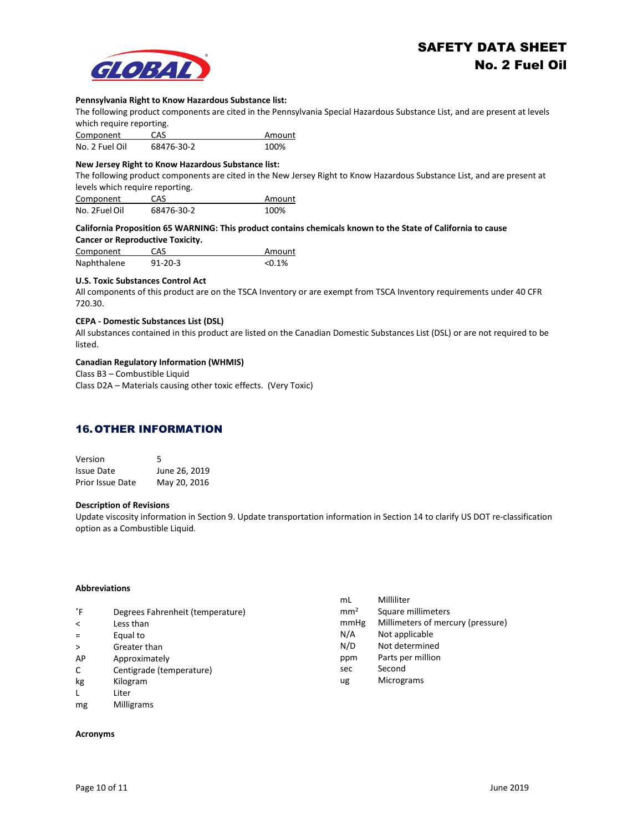

#### **Pennsylvania Right to Know Hazardous Substance list:**

The following product components are cited in the Pennsylvania Special Hazardous Substance List, and are present at levels which require reporting.

| Component      | CAS        | Amount |
|----------------|------------|--------|
| No. 2 Fuel Oil | 68476-30-2 | 100%   |

#### **New Jersey Right to Know Hazardous Substance list:**

The following product components are cited in the New Jersey Right to Know Hazardous Substance List, and are present at levels which require reporting.

| Component     | CAS        | Amount |
|---------------|------------|--------|
| No. 2Fuel Oil | 68476-30-2 | 100%   |

#### **California Proposition 65 WARNING: This product contains chemicals known to the State of California to cause Cancer or Reproductive Toxicity.**

| Component   | <b>CAS</b>    | Amount    |
|-------------|---------------|-----------|
| Naphthalene | $91 - 20 - 3$ | $< 0.1\%$ |

### **U.S. Toxic Substances Control Act**

All components of this product are on the TSCA Inventory or are exempt from TSCA Inventory requirements under 40 CFR 720.30.

#### **CEPA - Domestic Substances List (DSL)**

All substances contained in this product are listed on the Canadian Domestic Substances List (DSL) or are not required to be listed.

#### **Canadian Regulatory Information (WHMIS)**

Class B3 – Combustible Liquid

Class D2A – Materials causing other toxic effects. (Very Toxic)

### 16. OTHER INFORMATION

| Version                 | 5             |
|-------------------------|---------------|
| <b>Issue Date</b>       | June 26, 2019 |
| <b>Prior Issue Date</b> | May 20, 2016  |

#### **Description of Revisions**

Update viscosity information in Section 9. Update transportation information in Section 14 to clarify US DOT re-classification option as a Combustible Liquid.

#### **Abbreviations**

|         |                                  | mL              | Milliliter                        |
|---------|----------------------------------|-----------------|-----------------------------------|
| °F      | Degrees Fahrenheit (temperature) | mm <sup>2</sup> | Square millimeters                |
| $\prec$ | Less than                        | mmHg            | Millimeters of mercury (pressure) |
| $=$     | Equal to                         | N/A             | Not applicable                    |
| $\geq$  | Greater than                     | N/D             | Not determined                    |
| AP      | Approximately                    | ppm             | Parts per million                 |
| C       | Centigrade (temperature)         | sec             | Second                            |
| kg      | Kilogram                         | ug              | Micrograms                        |
| L       | Liter                            |                 |                                   |
| mg      | <b>Milligrams</b>                |                 |                                   |

#### **Acronyms**